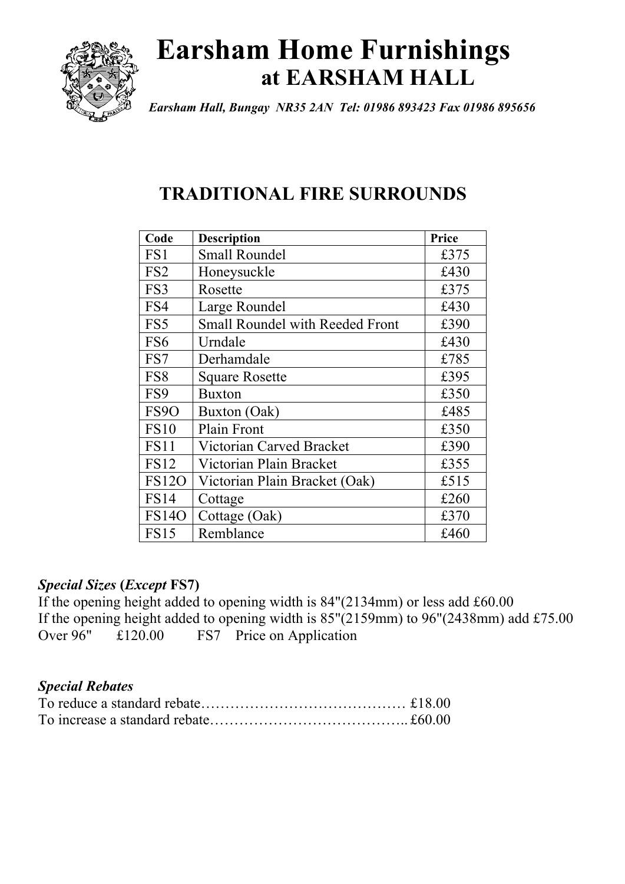

# **Earsham Home Furnishings at EARSHAM HALL**

*Earsham Hall, Bungay NR35 2AN Tel: 01986 893423 Fax 01986 895656*

# **TRADITIONAL FIRE SURROUNDS**

| Code              | <b>Description</b>                     | Price |
|-------------------|----------------------------------------|-------|
| FS1               | <b>Small Roundel</b>                   | £375  |
| FS <sub>2</sub>   | Honeysuckle                            | £430  |
| FS3               | Rosette                                | £375  |
| FS4               | Large Roundel                          | £430  |
| FS5               | <b>Small Roundel with Reeded Front</b> | £390  |
| FS <sub>6</sub>   | Urndale                                | £430  |
| FS7               | Derhamdale                             | £785  |
| FS8               | <b>Square Rosette</b>                  | £395  |
| FS9               | <b>Buxton</b>                          | £350  |
| FS <sub>9</sub> O | Buxton (Oak)                           | £485  |
| <b>FS10</b>       | Plain Front                            | £350  |
| FS11              | Victorian Carved Bracket               | £390  |
| <b>FS12</b>       | Victorian Plain Bracket                | £355  |
| <b>FS120</b>      | Victorian Plain Bracket (Oak)          | £515  |
| <b>FS14</b>       | Cottage                                | £260  |
| <b>FS140</b>      | Cottage (Oak)                          | £370  |
| <b>FS15</b>       | Remblance                              | £460  |

### *Special Sizes* **(***Except* **FS7)**

If the opening height added to opening width is 84"(2134mm) or less add £60.00 If the opening height added to opening width is 85"(2159mm) to 96"(2438mm) add £75.00 Over 96" £120.00 FS7 Price on Application

### *Special Rebates*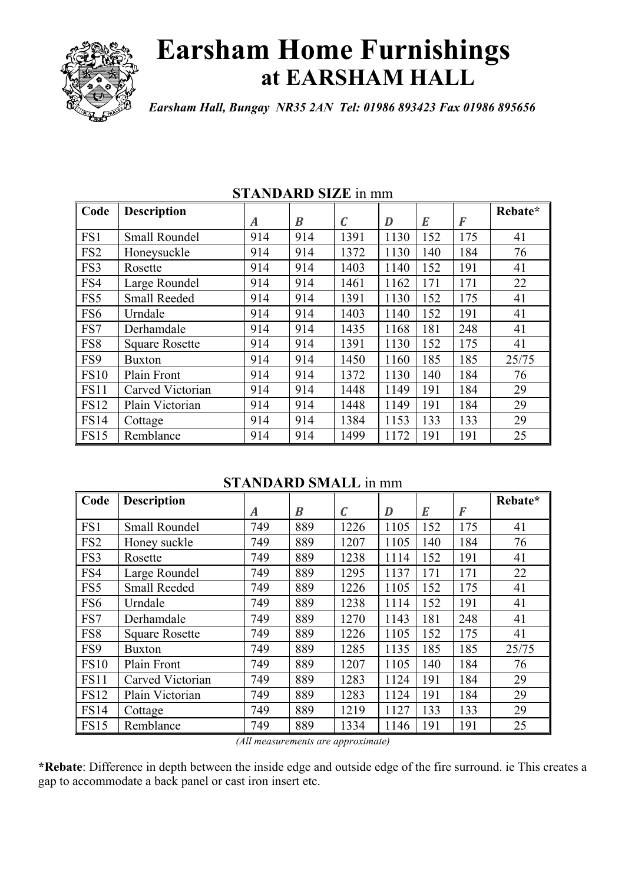

# **Earsham Home Furnishings at EARSHAM HALL**

*Earsham Hall, Bungay NR35 2AN Tel: 01986 893423 Fax 01986 895656*

| Code            | <b>Description</b>    |     |     |              |      |     |     | Rebate* |
|-----------------|-----------------------|-----|-----|--------------|------|-----|-----|---------|
|                 |                       | A   | B   | $\mathcal C$ | D    | E   | F   |         |
| FS1             | <b>Small Roundel</b>  | 914 | 914 | 1391         | 1130 | 152 | 175 | 41      |
| FS <sub>2</sub> | Honeysuckle           | 914 | 914 | 1372         | 1130 | 140 | 184 | 76      |
| FS3             | Rosette               | 914 | 914 | 1403         | 1140 | 152 | 191 | 41      |
| FS4             | Large Roundel         | 914 | 914 | 1461         | 1162 | 171 | 171 | 22      |
| FS5             | <b>Small Reeded</b>   | 914 | 914 | 1391         | 1130 | 152 | 175 | 41      |
| FS6             | Urndale               | 914 | 914 | 1403         | 1140 | 152 | 191 | 41      |
| FS7             | Derhamdale            | 914 | 914 | 1435         | 1168 | 181 | 248 | 41      |
| FS8             | <b>Square Rosette</b> | 914 | 914 | 1391         | 1130 | 152 | 175 | 41      |
| FS9             | <b>Buxton</b>         | 914 | 914 | 1450         | 1160 | 185 | 185 | 25/75   |
| <b>FS10</b>     | Plain Front           | 914 | 914 | 1372         | 1130 | 140 | 184 | 76      |
| <b>FS11</b>     | Carved Victorian      | 914 | 914 | 1448         | 1149 | 191 | 184 | 29      |
| <b>FS12</b>     | Plain Victorian       | 914 | 914 | 1448         | 1149 | 191 | 184 | 29      |
| <b>FS14</b>     | Cottage               | 914 | 914 | 1384         | 1153 | 133 | 133 | 29      |
| <b>FS15</b>     | Remblance             | 914 | 914 | 1499         | 1172 | 191 | 191 | 25      |

#### **STANDARD SIZE** in mm

### **STANDARD SMALL** in mm

| Code            | <b>Description</b>    |     |                  |              |      |     |                  | Rebate* |
|-----------------|-----------------------|-----|------------------|--------------|------|-----|------------------|---------|
|                 |                       | A   | $\boldsymbol{B}$ | $\mathcal C$ | D    | E   | $\boldsymbol{F}$ |         |
| FS1             | <b>Small Roundel</b>  | 749 | 889              | 1226         | 1105 | 152 | 175              | 41      |
| FS <sub>2</sub> | Honey suckle          | 749 | 889              | 1207         | 1105 | 140 | 184              | 76      |
| FS3             | Rosette               | 749 | 889              | 1238         | 1114 | 152 | 191              | 41      |
| FS4             | Large Roundel         | 749 | 889              | 1295         | 1137 | 171 | 171              | 22      |
| FS5             | <b>Small Reeded</b>   | 749 | 889              | 1226         | 1105 | 152 | 175              | 41      |
| FS <sub>6</sub> | Urndale               | 749 | 889              | 1238         | 1114 | 152 | 191              | 41      |
| FS7             | Derhamdale            | 749 | 889              | 1270         | 1143 | 181 | 248              | 41      |
| FS8             | <b>Square Rosette</b> | 749 | 889              | 1226         | 1105 | 152 | 175              | 41      |
| FS9             | <b>Buxton</b>         | 749 | 889              | 1285         | 1135 | 185 | 185              | 25/75   |
| <b>FS10</b>     | Plain Front           | 749 | 889              | 1207         | 1105 | 140 | 184              | 76      |
| <b>FS11</b>     | Carved Victorian      | 749 | 889              | 1283         | 1124 | 191 | 184              | 29      |
| <b>FS12</b>     | Plain Victorian       | 749 | 889              | 1283         | 1124 | 191 | 184              | 29      |
| <b>FS14</b>     | Cottage               | 749 | 889              | 1219         | 1127 | 133 | 133              | 29      |
| <b>FS15</b>     | Remblance             | 749 | 889              | 1334         | 1146 | 191 | 191              | 25      |

*(All measurements are approximate)*

**\*Rebate**: Difference in depth between the inside edge and outside edge of the fire surround. ie This creates a gap to accommodate a back panel or cast iron insert etc.